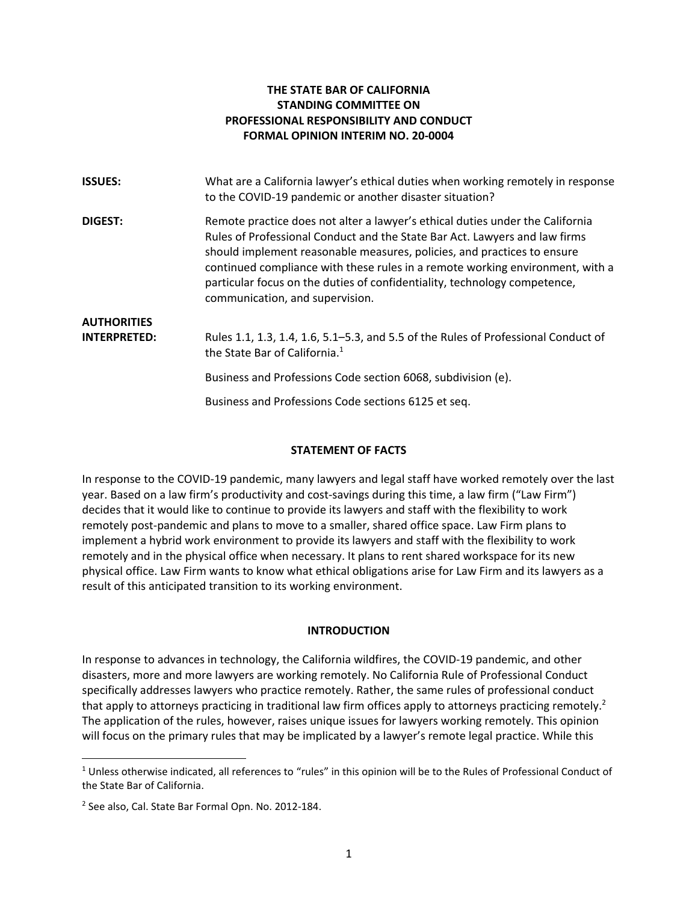### **THE STATE BAR OF CALIFORNIA STANDING COMMITTEE ON PROFESSIONAL RESPONSIBILITY AND CONDUCT FORMAL OPINION INTERIM NO. 20-0004**

| <b>ISSUES:</b>      | What are a California lawyer's ethical duties when working remotely in response<br>to the COVID-19 pandemic or another disaster situation?                                                                                                                                                                                                                                                                                              |
|---------------------|-----------------------------------------------------------------------------------------------------------------------------------------------------------------------------------------------------------------------------------------------------------------------------------------------------------------------------------------------------------------------------------------------------------------------------------------|
| <b>DIGEST:</b>      | Remote practice does not alter a lawyer's ethical duties under the California<br>Rules of Professional Conduct and the State Bar Act. Lawyers and law firms<br>should implement reasonable measures, policies, and practices to ensure<br>continued compliance with these rules in a remote working environment, with a<br>particular focus on the duties of confidentiality, technology competence,<br>communication, and supervision. |
| <b>AUTHORITIES</b>  |                                                                                                                                                                                                                                                                                                                                                                                                                                         |
| <b>INTERPRETED:</b> | Rules 1.1, 1.3, 1.4, 1.6, 5.1–5.3, and 5.5 of the Rules of Professional Conduct of<br>the State Bar of California. <sup>1</sup>                                                                                                                                                                                                                                                                                                         |
|                     | Business and Professions Code section 6068, subdivision (e).                                                                                                                                                                                                                                                                                                                                                                            |
|                     | Business and Professions Code sections 6125 et seq.                                                                                                                                                                                                                                                                                                                                                                                     |

### **STATEMENT OF FACTS**

In response to the COVID-19 pandemic, many lawyers and legal staff have worked remotely over the last year. Based on a law firm's productivity and cost-savings during this time, a law firm ("Law Firm") decides that it would like to continue to provide its lawyers and staff with the flexibility to work remotely post-pandemic and plans to move to a smaller, shared office space. Law Firm plans to implement a hybrid work environment to provide its lawyers and staff with the flexibility to work remotely and in the physical office when necessary. It plans to rent shared workspace for its new physical office. Law Firm wants to know what ethical obligations arise for Law Firm and its lawyers as a result of this anticipated transition to its working environment.

### **INTRODUCTION**

In response to advances in technology, the California wildfires, the COVID-19 pandemic, and other disasters, more and more lawyers are working remotely. No California Rule of Professional Conduct specifically addresses lawyers who practice remotely. Rather, the same rules of professional conduct that apply to attorneys practicing in traditional law firm offices apply to attorneys practicing remotely.<sup>[2](#page-0-1)</sup> The application of the rules, however, raises unique issues for lawyers working remotely. This opinion will focus on the primary rules that may be implicated by a lawyer's remote legal practice. While this

<span id="page-0-0"></span> $1$  Unless otherwise indicated, all references to "rules" in this opinion will be to the Rules of Professional Conduct of the State Bar of California.

<span id="page-0-1"></span><sup>2</sup> See also, Cal. State Bar Formal Opn. No. 2012-184.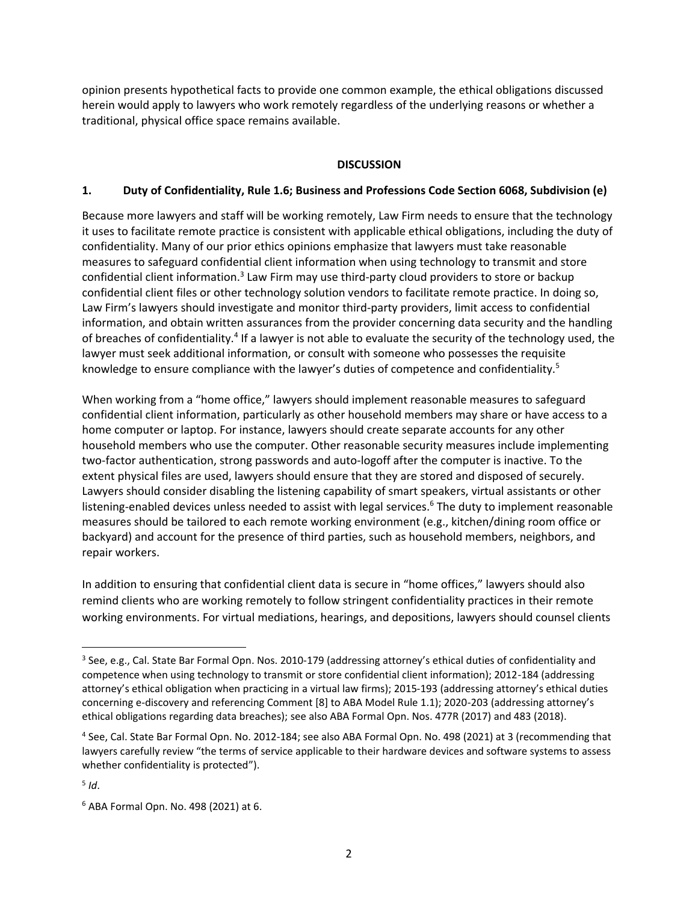opinion presents hypothetical facts to provide one common example, the ethical obligations discussed herein would apply to lawyers who work remotely regardless of the underlying reasons or whether a traditional, physical office space remains available.

### **DISCUSSION**

### **1. Duty of Confidentiality, Rule 1.6; Business and Professions Code Section 6068, Subdivision (e)**

Because more lawyers and staff will be working remotely, Law Firm needs to ensure that the technology it uses to facilitate remote practice is consistent with applicable ethical obligations, including the duty of confidentiality. Many of our prior ethics opinions emphasize that lawyers must take reasonable measures to safeguard confidential client information when using technology to transmit and store confidential client information.<sup>[3](#page-1-0)</sup> Law Firm may use third-party cloud providers to store or backup confidential client files or other technology solution vendors to facilitate remote practice. In doing so, Law Firm's lawyers should investigate and monitor third-party providers, limit access to confidential information, and obtain written assurances from the provider concerning data security and the handling of breaches of confidentiality.<sup>[4](#page-1-1)</sup> If a lawyer is not able to evaluate the security of the technology used, the lawyer must seek additional information, or consult with someone who possesses the requisite knowledge to ensure compliance with the lawyer's duties of competence and confidentiality.<sup>[5](#page-1-2)</sup>

When working from a "home office," lawyers should implement reasonable measures to safeguard confidential client information, particularly as other household members may share or have access to a home computer or laptop. For instance, lawyers should create separate accounts for any other household members who use the computer. Other reasonable security measures include implementing two-factor authentication, strong passwords and auto-logoff after the computer is inactive. To the extent physical files are used, lawyers should ensure that they are stored and disposed of securely. Lawyers should consider disabling the listening capability of smart speakers, virtual assistants or other listening-enabled devices unless needed to assist with legal services.<sup>[6](#page-1-3)</sup> The duty to implement reasonable measures should be tailored to each remote working environment (e.g., kitchen/dining room office or backyard) and account for the presence of third parties, such as household members, neighbors, and repair workers.

In addition to ensuring that confidential client data is secure in "home offices," lawyers should also remind clients who are working remotely to follow stringent confidentiality practices in their remote working environments. For virtual mediations, hearings, and depositions, lawyers should counsel clients

<span id="page-1-0"></span><sup>&</sup>lt;sup>3</sup> See, e.g., Cal. State Bar Formal Opn. Nos. 2010-179 (addressing attorney's ethical duties of confidentiality and competence when using technology to transmit or store confidential client information); 2012-184 (addressing attorney's ethical obligation when practicing in a virtual law firms); 2015-193 (addressing attorney's ethical duties concerning e-discovery and referencing Comment [8] to ABA Model Rule 1.1); 2020-203 (addressing attorney's ethical obligations regarding data breaches); see also ABA Formal Opn. Nos. 477R (2017) and 483 (2018).

<span id="page-1-1"></span><sup>4</sup> See, Cal. State Bar Formal Opn. No. 2012-184; see also ABA Formal Opn. No. 498 (2021) at 3 (recommending that lawyers carefully review "the terms of service applicable to their hardware devices and software systems to assess whether confidentiality is protected").

<span id="page-1-2"></span><sup>5</sup> *Id*.

<span id="page-1-3"></span><sup>6</sup> ABA Formal Opn. No. 498 (2021) at 6.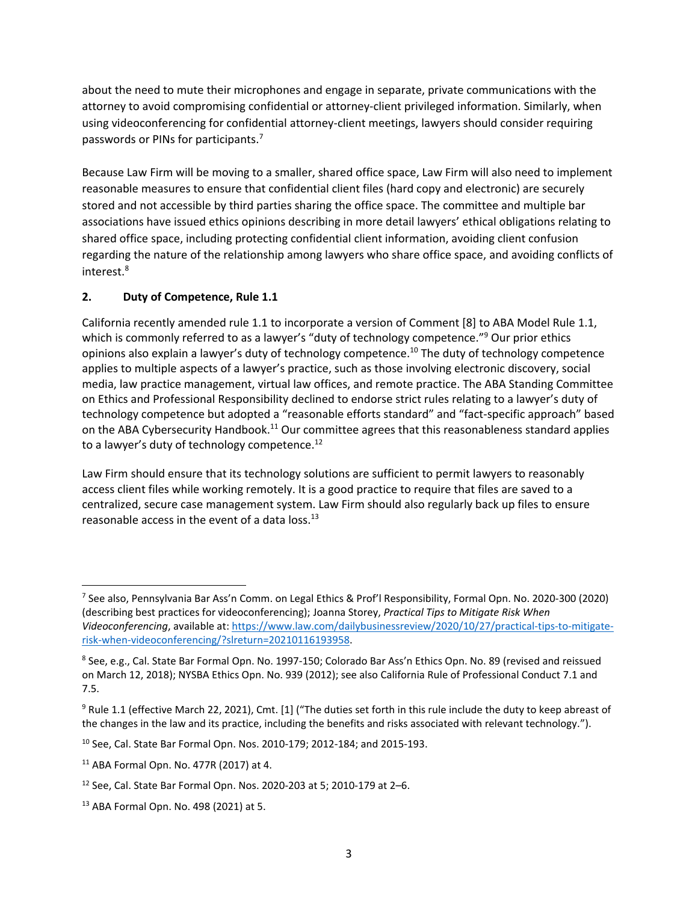about the need to mute their microphones and engage in separate, private communications with the attorney to avoid compromising confidential or attorney-client privileged information. Similarly, when using videoconferencing for confidential attorney-client meetings, lawyers should consider requiring passwords or PINs for participants.[7](#page-2-0)

Because Law Firm will be moving to a smaller, shared office space, Law Firm will also need to implement reasonable measures to ensure that confidential client files (hard copy and electronic) are securely stored and not accessible by third parties sharing the office space. The committee and multiple bar associations have issued ethics opinions describing in more detail lawyers' ethical obligations relating to shared office space, including protecting confidential client information, avoiding client confusion regarding the nature of the relationship among lawyers who share office space, and avoiding conflicts of interest. [8](#page-2-1)

# **2. Duty of Competence, Rule 1.1**

California recently amended rule 1.1 to incorporate a version of Comment [8] to ABA Model Rule 1.1, which is commonly referred to as a lawyer's "duty of technology competence."<sup>[9](#page-2-2)</sup> Our prior ethics opinions also explain a lawyer's duty of technology competence.[10](#page-2-3) The duty of technology competence applies to multiple aspects of a lawyer's practice, such as those involving electronic discovery, social media, law practice management, virtual law offices, and remote practice. The ABA Standing Committee on Ethics and Professional Responsibility declined to endorse strict rules relating to a lawyer's duty of technology competence but adopted a "reasonable efforts standard" and "fact-specific approach" based on the ABA Cybersecurity Handbook.<sup>[11](#page-2-4)</sup> Our committee agrees that this reasonableness standard applies to a lawyer's duty of technology competence.<sup>[12](#page-2-5)</sup>

Law Firm should ensure that its technology solutions are sufficient to permit lawyers to reasonably access client files while working remotely. It is a good practice to require that files are saved to a centralized, secure case management system. Law Firm should also regularly back up files to ensure reasonable access in the event of a data loss.<sup>[13](#page-2-6)</sup>

<span id="page-2-0"></span><sup>7</sup> See also, Pennsylvania Bar Ass'n Comm. on Legal Ethics & Prof'l Responsibility, Formal Opn. No. 2020-300 (2020) (describing best practices for videoconferencing); Joanna Storey, *Practical Tips to Mitigate Risk When Videoconferencing*, available at: [https://www.law.com/dailybusinessreview/2020/10/27/practical-tips-to-mitigate](https://www.law.com/dailybusinessreview/2020/10/27/practical-tips-to-mitigate-risk-when-videoconferencing/?slreturn=20210116193958)[risk-when-videoconferencing/?slreturn=20210116193958.](https://www.law.com/dailybusinessreview/2020/10/27/practical-tips-to-mitigate-risk-when-videoconferencing/?slreturn=20210116193958)

<span id="page-2-1"></span><sup>8</sup> See, e.g., Cal. State Bar Formal Opn. No. 1997-150; Colorado Bar Ass'n Ethics Opn. No. 89 (revised and reissued on March 12, 2018); NYSBA Ethics Opn. No. 939 (2012); see also California Rule of Professional Conduct 7.1 and 7.5.

<span id="page-2-2"></span><sup>&</sup>lt;sup>9</sup> Rule 1.1 (effective March 22, 2021), Cmt. [1] ("The duties set forth in this rule include the duty to keep abreast of the changes in the law and its practice, including the benefits and risks associated with relevant technology.").

<span id="page-2-3"></span><sup>10</sup> See, Cal. State Bar Formal Opn. Nos. 2010-179; 2012-184; and 2015-193.

<span id="page-2-4"></span><sup>11</sup> ABA Formal Opn. No. 477R (2017) at 4.

<span id="page-2-5"></span><sup>12</sup> See, Cal. State Bar Formal Opn. Nos. 2020-203 at 5; 2010-179 at 2–6.

<span id="page-2-6"></span><sup>13</sup> ABA Formal Opn. No. 498 (2021) at 5.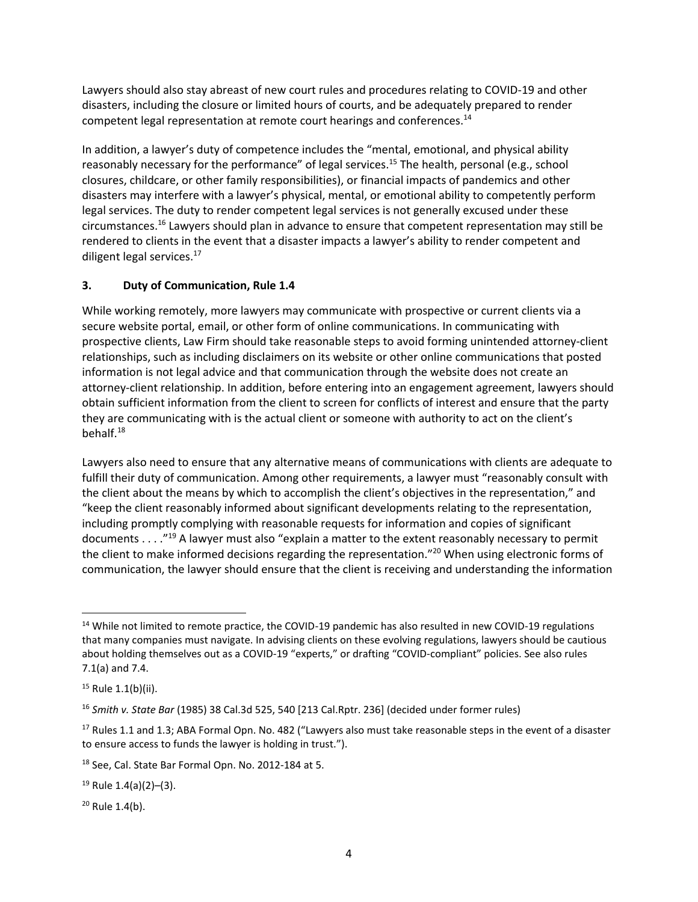Lawyers should also stay abreast of new court rules and procedures relating to COVID-19 and other disasters, including the closure or limited hours of courts, and be adequately prepared to render competent legal representation at remote court hearings and conferences.<sup>[14](#page-3-0)</sup>

In addition, a lawyer's duty of competence includes the "mental, emotional, and physical ability reasonably necessary for the performance" of legal services.<sup>[15](#page-3-1)</sup> The health, personal (e.g., school closures, childcare, or other family responsibilities), or financial impacts of pandemics and other disasters may interfere with a lawyer's physical, mental, or emotional ability to competently perform legal services. The duty to render competent legal services is not generally excused under these circumstances. [16](#page-3-2) Lawyers should plan in advance to ensure that competent representation may still be rendered to clients in the event that a disaster impacts a lawyer's ability to render competent and diligent legal services.<sup>[17](#page-3-3)</sup>

# **3. Duty of Communication, Rule 1.4**

While working remotely, more lawyers may communicate with prospective or current clients via a secure website portal, email, or other form of online communications. In communicating with prospective clients, Law Firm should take reasonable steps to avoid forming unintended attorney-client relationships, such as including disclaimers on its website or other online communications that posted information is not legal advice and that communication through the website does not create an attorney-client relationship. In addition, before entering into an engagement agreement, lawyers should obtain sufficient information from the client to screen for conflicts of interest and ensure that the party they are communicating with is the actual client or someone with authority to act on the client's behalf.[18](#page-3-4)

Lawyers also need to ensure that any alternative means of communications with clients are adequate to fulfill their duty of communication. Among other requirements, a lawyer must "reasonably consult with the client about the means by which to accomplish the client's objectives in the representation," and "keep the client reasonably informed about significant developments relating to the representation, including promptly complying with reasonable requests for information and copies of significant documents . . . ." [19](#page-3-5) A lawyer must also "explain a matter to the extent reasonably necessary to permit the client to make informed decisions regarding the representation."<sup>[20](#page-3-6)</sup> When using electronic forms of communication, the lawyer should ensure that the client is receiving and understanding the information

<span id="page-3-0"></span><sup>&</sup>lt;sup>14</sup> While not limited to remote practice, the COVID-19 pandemic has also resulted in new COVID-19 regulations that many companies must navigate. In advising clients on these evolving regulations, lawyers should be cautious about holding themselves out as a COVID-19 "experts," or drafting "COVID-compliant" policies. See also rules 7.1(a) and 7.4.

<span id="page-3-1"></span> $15$  Rule 1.1(b)(ii).

<span id="page-3-2"></span><sup>16</sup> *Smith v. State Bar* (1985) 38 Cal.3d 525, 540 [213 Cal.Rptr. 236] (decided under former rules)

<span id="page-3-3"></span><sup>&</sup>lt;sup>17</sup> Rules 1.1 and 1.3; ABA Formal Opn. No. 482 ("Lawyers also must take reasonable steps in the event of a disaster to ensure access to funds the lawyer is holding in trust.").

<span id="page-3-4"></span><sup>18</sup> See, Cal. State Bar Formal Opn. No. 2012-184 at 5.

<span id="page-3-5"></span><sup>19</sup> Rule 1.4(a)(2)–(3).

<span id="page-3-6"></span><sup>20</sup> Rule 1.4(b).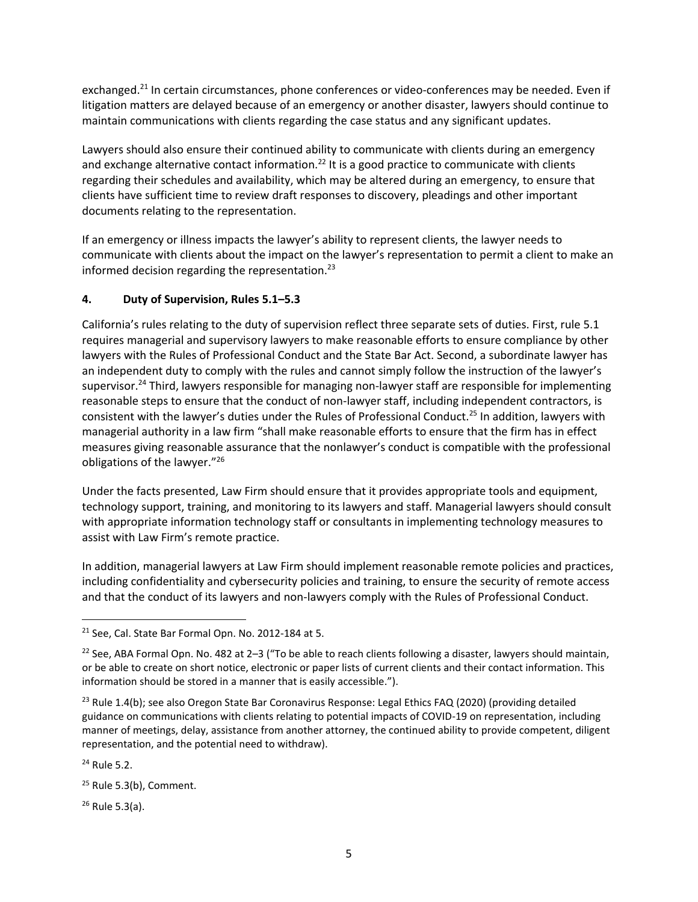exchanged.<sup>[21](#page-4-0)</sup> In certain circumstances, phone conferences or video-conferences may be needed. Even if litigation matters are delayed because of an emergency or another disaster, lawyers should continue to maintain communications with clients regarding the case status and any significant updates.

Lawyers should also ensure their continued ability to communicate with clients during an emergency and exchange alternative contact information.<sup>[22](#page-4-1)</sup> It is a good practice to communicate with clients regarding their schedules and availability, which may be altered during an emergency, to ensure that clients have sufficient time to review draft responses to discovery, pleadings and other important documents relating to the representation.

If an emergency or illness impacts the lawyer's ability to represent clients, the lawyer needs to communicate with clients about the impact on the lawyer's representation to permit a client to make an informed decision regarding the representation.<sup>[23](#page-4-2)</sup>

## **4. Duty of Supervision, Rules 5.1–5.3**

California's rules relating to the duty of supervision reflect three separate sets of duties. First, rule 5.1 requires managerial and supervisory lawyers to make reasonable efforts to ensure compliance by other lawyers with the Rules of Professional Conduct and the State Bar Act. Second, a subordinate lawyer has an independent duty to comply with the rules and cannot simply follow the instruction of the lawyer's supervisor. [24](#page-4-3) Third, lawyers responsible for managing non-lawyer staff are responsible for implementing reasonable steps to ensure that the conduct of non-lawyer staff, including independent contractors, is consistent with the lawyer's duties under the Rules of Professional Conduct.[25](#page-4-4) In addition, lawyers with managerial authority in a law firm "shall make reasonable efforts to ensure that the firm has in effect measures giving reasonable assurance that the nonlawyer's conduct is compatible with the professional obligations of the lawyer."[26](#page-4-5)

Under the facts presented, Law Firm should ensure that it provides appropriate tools and equipment, technology support, training, and monitoring to its lawyers and staff. Managerial lawyers should consult with appropriate information technology staff or consultants in implementing technology measures to assist with Law Firm's remote practice.

In addition, managerial lawyers at Law Firm should implement reasonable remote policies and practices, including confidentiality and cybersecurity policies and training, to ensure the security of remote access and that the conduct of its lawyers and non-lawyers comply with the Rules of Professional Conduct.

<span id="page-4-5"></span><sup>26</sup> Rule 5.3(a).

<span id="page-4-0"></span><sup>21</sup> See, Cal. State Bar Formal Opn. No. 2012-184 at 5.

<span id="page-4-1"></span><sup>&</sup>lt;sup>22</sup> See, ABA Formal Opn. No. 482 at 2-3 ("To be able to reach clients following a disaster, lawyers should maintain, or be able to create on short notice, electronic or paper lists of current clients and their contact information. This information should be stored in a manner that is easily accessible.").

<span id="page-4-2"></span><sup>&</sup>lt;sup>23</sup> Rule 1.4(b); see also Oregon State Bar Coronavirus Response: Legal Ethics FAQ (2020) (providing detailed guidance on communications with clients relating to potential impacts of COVID-19 on representation, including manner of meetings, delay, assistance from another attorney, the continued ability to provide competent, diligent representation, and the potential need to withdraw).

<span id="page-4-3"></span><sup>24</sup> Rule 5.2.

<span id="page-4-4"></span><sup>&</sup>lt;sup>25</sup> Rule 5.3(b), Comment.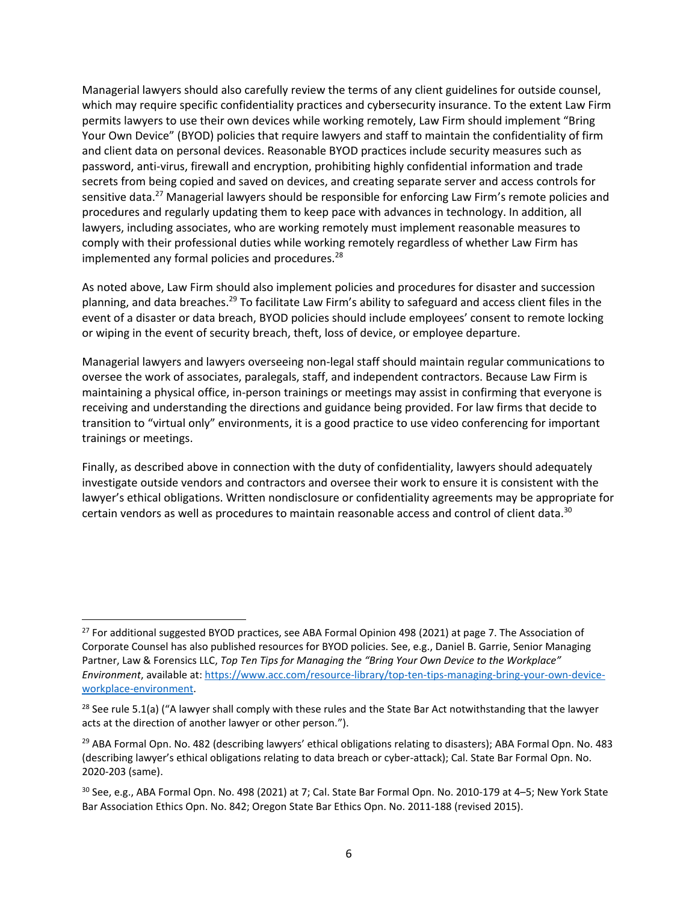Managerial lawyers should also carefully review the terms of any client guidelines for outside counsel, which may require specific confidentiality practices and cybersecurity insurance. To the extent Law Firm permits lawyers to use their own devices while working remotely, Law Firm should implement "Bring Your Own Device" (BYOD) policies that require lawyers and staff to maintain the confidentiality of firm and client data on personal devices. Reasonable BYOD practices include security measures such as password, anti-virus, firewall and encryption, prohibiting highly confidential information and trade secrets from being copied and saved on devices, and creating separate server and access controls for sensitive data.<sup>[27](#page-5-0)</sup> Managerial lawyers should be responsible for enforcing Law Firm's remote policies and procedures and regularly updating them to keep pace with advances in technology. In addition, all lawyers, including associates, who are working remotely must implement reasonable measures to comply with their professional duties while working remotely regardless of whether Law Firm has implemented any formal policies and procedures.<sup>[28](#page-5-1)</sup>

As noted above, Law Firm should also implement policies and procedures for disaster and succession planning, and data breaches.<sup>[29](#page-5-2)</sup> To facilitate Law Firm's ability to safeguard and access client files in the event of a disaster or data breach, BYOD policies should include employees' consent to remote locking or wiping in the event of security breach, theft, loss of device, or employee departure.

Managerial lawyers and lawyers overseeing non-legal staff should maintain regular communications to oversee the work of associates, paralegals, staff, and independent contractors. Because Law Firm is maintaining a physical office, in-person trainings or meetings may assist in confirming that everyone is receiving and understanding the directions and guidance being provided. For law firms that decide to transition to "virtual only" environments, it is a good practice to use video conferencing for important trainings or meetings.

Finally, as described above in connection with the duty of confidentiality, lawyers should adequately investigate outside vendors and contractors and oversee their work to ensure it is consistent with the lawyer's ethical obligations. Written nondisclosure or confidentiality agreements may be appropriate for certain vendors as well as procedures to maintain reasonable access and control of client data.<sup>[30](#page-5-3)</sup>

<span id="page-5-0"></span><sup>&</sup>lt;sup>27</sup> For additional suggested BYOD practices, see ABA Formal Opinion 498 (2021) at page 7. The Association of Corporate Counsel has also published resources for BYOD policies. See, e.g., Daniel B. Garrie, Senior Managing Partner, Law & Forensics LLC, *Top Ten Tips for Managing the "Bring Your Own Device to the Workplace" Environment*, available at: [https://www.acc.com/resource-library/top-ten-tips-managing-bring-your-own-device](https://www.acc.com/resource-library/top-ten-tips-managing-bring-your-own-device-workplace-environment)[workplace-environment.](https://www.acc.com/resource-library/top-ten-tips-managing-bring-your-own-device-workplace-environment)

<span id="page-5-1"></span><sup>&</sup>lt;sup>28</sup> See rule 5.1(a) ("A lawyer shall comply with these rules and the State Bar Act notwithstanding that the lawyer acts at the direction of another lawyer or other person.").

<span id="page-5-2"></span><sup>&</sup>lt;sup>29</sup> ABA Formal Opn. No. 482 (describing lawyers' ethical obligations relating to disasters); ABA Formal Opn. No. 483 (describing lawyer's ethical obligations relating to data breach or cyber-attack); Cal. State Bar Formal Opn. No. 2020-203 (same).

<span id="page-5-3"></span><sup>30</sup> See, e.g., ABA Formal Opn. No. 498 (2021) at 7; Cal. State Bar Formal Opn. No. 2010-179 at 4–5; New York State Bar Association Ethics Opn. No. 842; Oregon State Bar Ethics Opn. No. 2011-188 (revised 2015).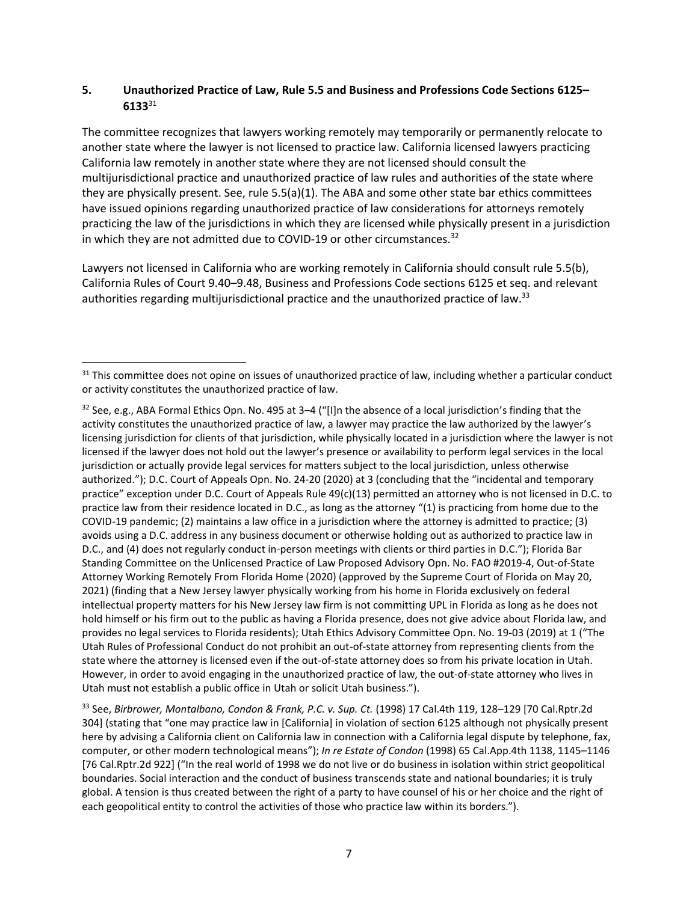## **5. Unauthorized Practice of Law, Rule 5.5 and Business and Professions Code Sections 6125– 6133**[31](#page-6-0)

The committee recognizes that lawyers working remotely may temporarily or permanently relocate to another state where the lawyer is not licensed to practice law. California licensed lawyers practicing California law remotely in another state where they are not licensed should consult the multijurisdictional practice and unauthorized practice of law rules and authorities of the state where they are physically present. See, rule 5.5(a)(1). The ABA and some other state bar ethics committees have issued opinions regarding unauthorized practice of law considerations for attorneys remotely practicing the law of the jurisdictions in which they are licensed while physically present in a jurisdiction in which they are not admitted due to COVID-19 or other circumstances.<sup>[32](#page-6-1)</sup>

Lawyers not licensed in California who are working remotely in California should consult rule 5.5(b), California Rules of Court 9.40–9.48, Business and Professions Code sections 6125 et seq. and relevant authorities regarding multijurisdictional practice and the unauthorized practice of law.<sup>[33](#page-6-2)</sup>

<span id="page-6-0"></span><sup>&</sup>lt;sup>31</sup> This committee does not opine on issues of unauthorized practice of law, including whether a particular conduct or activity constitutes the unauthorized practice of law.

<span id="page-6-1"></span> $32$  See, e.g., ABA Formal Ethics Opn. No. 495 at 3–4 ("[I]n the absence of a local jurisdiction's finding that the activity constitutes the unauthorized practice of law, a lawyer may practice the law authorized by the lawyer's licensing jurisdiction for clients of that jurisdiction, while physically located in a jurisdiction where the lawyer is not licensed if the lawyer does not hold out the lawyer's presence or availability to perform legal services in the local jurisdiction or actually provide legal services for matters subject to the local jurisdiction, unless otherwise authorized."); D.C. Court of Appeals Opn. No. 24-20 (2020) at 3 (concluding that the "incidental and temporary practice" exception under D.C. Court of Appeals Rule 49(c)(13) permitted an attorney who is not licensed in D.C. to practice law from their residence located in D.C., as long as the attorney "(1) is practicing from home due to the COVID-19 pandemic; (2) maintains a law office in a jurisdiction where the attorney is admitted to practice; (3) avoids using a D.C. address in any business document or otherwise holding out as authorized to practice law in D.C., and (4) does not regularly conduct in-person meetings with clients or third parties in D.C."); Florida Bar Standing Committee on the Unlicensed Practice of Law Proposed Advisory Opn. No. FAO #2019-4, Out-of-State Attorney Working Remotely From Florida Home (2020) (approved by the Supreme Court of Florida on May 20, 2021) (finding that a New Jersey lawyer physically working from his home in Florida exclusively on federal intellectual property matters for his New Jersey law firm is not committing UPL in Florida as long as he does not hold himself or his firm out to the public as having a Florida presence, does not give advice about Florida law, and provides no legal services to Florida residents); Utah Ethics Advisory Committee Opn. No. 19-03 (2019) at 1 ("The Utah Rules of Professional Conduct do not prohibit an out-of-state attorney from representing clients from the state where the attorney is licensed even if the out-of-state attorney does so from his private location in Utah. However, in order to avoid engaging in the unauthorized practice of law, the out-of-state attorney who lives in Utah must not establish a public office in Utah or solicit Utah business.").

<span id="page-6-2"></span><sup>33</sup> See, *Birbrower, Montalbano, Condon & Frank, P.C. v. Sup. Ct.* (1998) 17 Cal.4th 119, 128–129 [70 Cal.Rptr.2d 304] (stating that "one may practice law in [California] in violation of section 6125 although not physically present here by advising a California client on California law in connection with a California legal dispute by telephone, fax, computer, or other modern technological means"); *In re Estate of Condon* (1998) 65 Cal.App.4th 1138, 1145–1146 [76 Cal.Rptr.2d 922] ("In the real world of 1998 we do not live or do business in isolation within strict geopolitical boundaries. Social interaction and the conduct of business transcends state and national boundaries; it is truly global. A tension is thus created between the right of a party to have counsel of his or her choice and the right of each geopolitical entity to control the activities of those who practice law within its borders.").